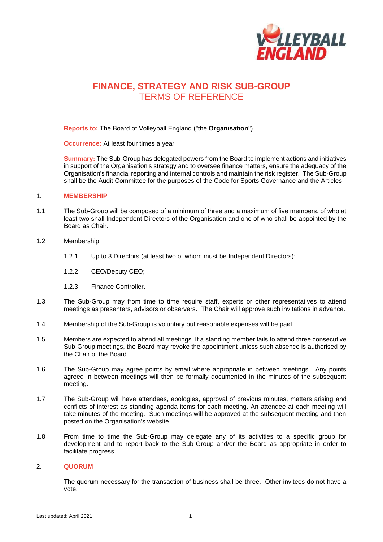

# **FINANCE, STRATEGY AND RISK SUB-GROUP**  TERMS OF REFERENCE

**Reports to:** The Board of Volleyball England ("the **Organisation**")

**Occurrence:** At least four times a year

**Summary:** The Sub-Group has delegated powers from the Board to implement actions and initiatives in support of the Organisation's strategy and to oversee finance matters, ensure the adequacy of the Organisation's financial reporting and internal controls and maintain the risk register. The Sub-Group shall be the Audit Committee for the purposes of the Code for Sports Governance and the Articles.

#### 1. **MEMBERSHIP**

- 1.1 The Sub-Group will be composed of a minimum of three and a maximum of five members, of who at least two shall Independent Directors of the Organisation and one of who shall be appointed by the Board as Chair.
- 1.2 Membership:
	- 1.2.1 Up to 3 Directors (at least two of whom must be Independent Directors);
	- 1.2.2 CEO/Deputy CEO;
	- 1.2.3 Finance Controller.
- 1.3 The Sub-Group may from time to time require staff, experts or other representatives to attend meetings as presenters, advisors or observers. The Chair will approve such invitations in advance.
- 1.4 Membership of the Sub-Group is voluntary but reasonable expenses will be paid.
- 1.5 Members are expected to attend all meetings. If a standing member fails to attend three consecutive Sub-Group meetings, the Board may revoke the appointment unless such absence is authorised by the Chair of the Board.
- 1.6 The Sub-Group may agree points by email where appropriate in between meetings. Any points agreed in between meetings will then be formally documented in the minutes of the subsequent meeting.
- 1.7 The Sub-Group will have attendees, apologies, approval of previous minutes, matters arising and conflicts of interest as standing agenda items for each meeting. An attendee at each meeting will take minutes of the meeting. Such meetings will be approved at the subsequent meeting and then posted on the Organisation's website.
- 1.8 From time to time the Sub-Group may delegate any of its activities to a specific group for development and to report back to the Sub-Group and/or the Board as appropriate in order to facilitate progress.

#### 2. **QUORUM**

The quorum necessary for the transaction of business shall be three. Other invitees do not have a vote.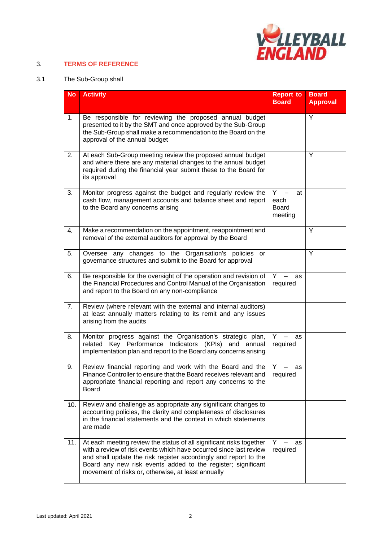

### 3. **TERMS OF REFERENCE**

## 3.1 The Sub-Group shall

| <b>No</b> | <b>Activity</b>                                                                                                                                                                                                                                                                                                                     | <b>Report to</b><br><b>Board</b>           | <b>Board</b><br><b>Approval</b> |
|-----------|-------------------------------------------------------------------------------------------------------------------------------------------------------------------------------------------------------------------------------------------------------------------------------------------------------------------------------------|--------------------------------------------|---------------------------------|
| 1.        | Be responsible for reviewing the proposed annual budget<br>presented to it by the SMT and once approved by the Sub-Group<br>the Sub-Group shall make a recommendation to the Board on the<br>approval of the annual budget                                                                                                          |                                            | Y                               |
| 2.        | At each Sub-Group meeting review the proposed annual budget<br>and where there are any material changes to the annual budget<br>required during the financial year submit these to the Board for<br>its approval                                                                                                                    |                                            | Y                               |
| 3.        | Monitor progress against the budget and regularly review the<br>cash flow, management accounts and balance sheet and report<br>to the Board any concerns arising                                                                                                                                                                    | Y<br>at<br>each<br><b>Board</b><br>meeting |                                 |
| 4.        | Make a recommendation on the appointment, reappointment and<br>removal of the external auditors for approval by the Board                                                                                                                                                                                                           |                                            | Y                               |
| 5.        | Oversee any changes to the Organisation's policies<br>or<br>governance structures and submit to the Board for approval                                                                                                                                                                                                              |                                            | Y                               |
| 6.        | Be responsible for the oversight of the operation and revision of<br>the Financial Procedures and Control Manual of the Organisation<br>and report to the Board on any non-compliance                                                                                                                                               | Y<br>as<br>required                        |                                 |
| 7.        | Review (where relevant with the external and internal auditors)<br>at least annually matters relating to its remit and any issues<br>arising from the audits                                                                                                                                                                        |                                            |                                 |
| 8.        | Monitor progress against the Organisation's strategic plan,<br>Key Performance Indicators (KPIs) and annual<br>related<br>implementation plan and report to the Board any concerns arising                                                                                                                                          | Y<br>as<br>required                        |                                 |
| 9.        | Review financial reporting and work with the Board and the<br>Finance Controller to ensure that the Board receives relevant and<br>appropriate financial reporting and report any concerns to the<br>Board                                                                                                                          | Y<br>as<br>required                        |                                 |
| 10.       | Review and challenge as appropriate any significant changes to<br>accounting policies, the clarity and completeness of disclosures<br>in the financial statements and the context in which statements<br>are made                                                                                                                   |                                            |                                 |
| 11.       | At each meeting review the status of all significant risks together<br>with a review of risk events which have occurred since last review<br>and shall update the risk register accordingly and report to the<br>Board any new risk events added to the register; significant<br>movement of risks or, otherwise, at least annually | Y.<br>as<br>required                       |                                 |